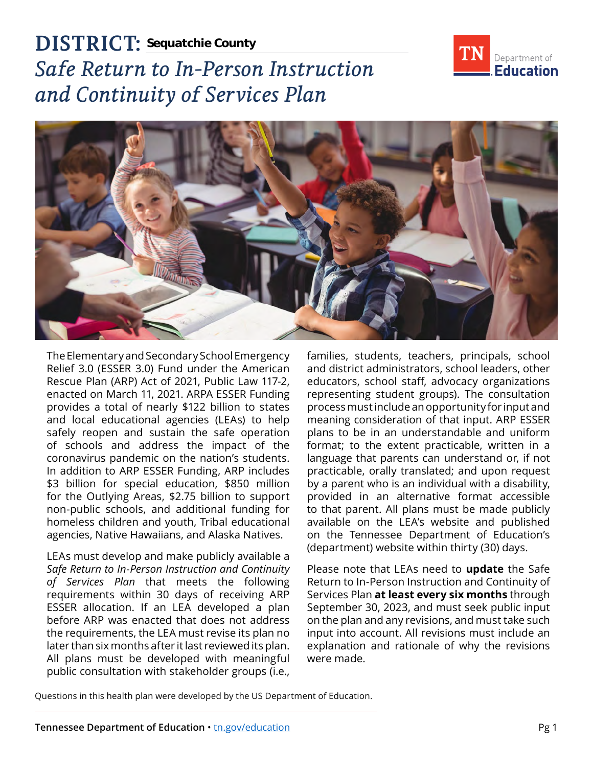**DISTRICT: Sequatchie County**



# *Safe Return to In-Person Instruction and Continuity of Services Plan*



The Elementary and Secondary School Emergency Relief 3.0 (ESSER 3.0) Fund under the American Rescue Plan (ARP) Act of 2021, Public Law 117-2, enacted on March 11, 2021. ARPA ESSER Funding provides a total of nearly \$122 billion to states and local educational agencies (LEAs) to help safely reopen and sustain the safe operation of schools and address the impact of the coronavirus pandemic on the nation's students. In addition to ARP ESSER Funding, ARP includes \$3 billion for special education, \$850 million for the Outlying Areas, \$2.75 billion to support non-public schools, and additional funding for homeless children and youth, Tribal educational agencies, Native Hawaiians, and Alaska Natives.

LEAs must develop and make publicly available a *Safe Return to In-Person Instruction and Continuity of Services Plan* that meets the following requirements within 30 days of receiving ARP ESSER allocation. If an LEA developed a plan before ARP was enacted that does not address the requirements, the LEA must revise its plan no later than six months after it last reviewed its plan. All plans must be developed with meaningful public consultation with stakeholder groups (i.e.,

families, students, teachers, principals, school and district administrators, school leaders, other educators, school staff, advocacy organizations representing student groups). The consultation process must include an opportunity for input and meaning consideration of that input. ARP ESSER plans to be in an understandable and uniform format; to the extent practicable, written in a language that parents can understand or, if not practicable, orally translated; and upon request by a parent who is an individual with a disability, provided in an alternative format accessible to that parent. All plans must be made publicly available on the LEA's website and published on the Tennessee Department of Education's (department) website within thirty (30) days.

Please note that LEAs need to **update** the Safe Return to In-Person Instruction and Continuity of Services Plan **at least every six months** through September 30, 2023, and must seek public input on the plan and any revisions, and must take such input into account. All revisions must include an explanation and rationale of why the revisions were made.

Questions in this health plan were developed by the US Department of Education.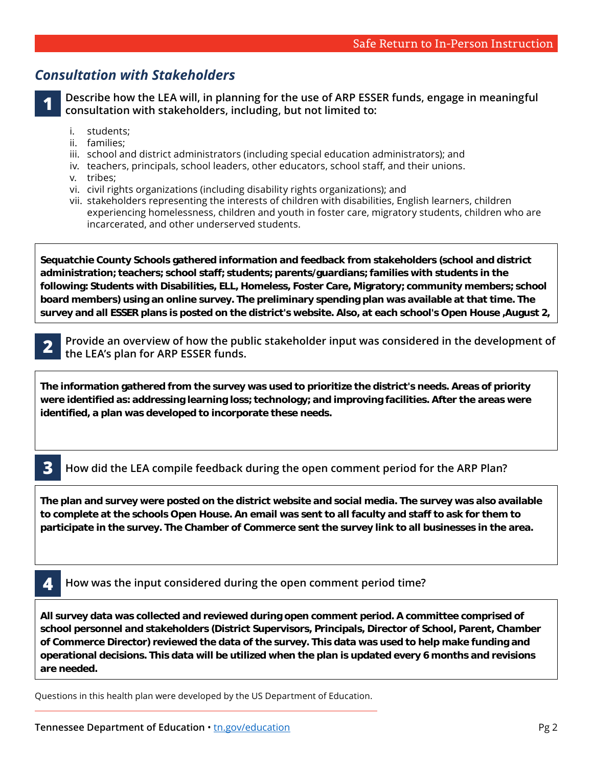## *Consultation with Stakeholders*

**1**

**Describe how the LEA will, in planning for the use of ARP ESSER funds, engage in meaningful consultation with stakeholders, including, but not limited to:** 

- i. students;
- ii. families;
- iii. school and district administrators (including special education administrators); and
- iv. teachers, principals, school leaders, other educators, school staff, and their unions.
- v. tribes;
- vi. civil rights organizations (including disability rights organizations); and

**at the August school board meeting and published in the local newspaper.**

vii. stakeholders representing the interests of children with disabilities, English learners, children experiencing homelessness, children and youth in foster care, migratory students, children who are incarcerated, and other underserved students.

**Sequatchie County Schools gathered information and feedback from stakeholders (school and district administration; teachers; school staff; students; parents/guardians; families with students in the following: Students with Disabilities, ELL, Homeless, Foster Care, Migratory; community members; school board members) using an online survey. The preliminary spending plan was available at that time. The survey and all ESSER plans is posted on the district's website. Also, at each school's Open House ,August 2,** 

**2021, stakeholders were asked to complete the survey using an iPad while on campus at all 3 schools. A** 

**2**

**district an overview of how the public stakeholder input was considered in the development of district conducted an open conducted and discussed and discussed data results were shared and discussed and discussed and discussed data results were shared and discussed and discussed of**  $\mathbf{A}$  **results were shared of** 

**The information gathered from the survey was used to prioritize the district's needs. Areas of priority were identified as: addressing learning loss; technology; and improving facilities. After the areas were identified, a plan was developed to incorporate these needs.** 

#### **How did the LEA compile feedback during the open comment period for the ARP Plan? 3**

**The plan and survey were posted on the district website and social media. The survey was also available to complete at the schools Open House. An email was sent to all faculty and staff to ask for them to participate in the survey. The Chamber of Commerce sent the survey link to all businesses in the area.** 

#### **How was the input considered during the open comment period time? 4**

**All survey data was collected and reviewed during open comment period. A committee comprised of school personnel and stakeholders (District Supervisors, Principals, Director of School, Parent, Chamber of Commerce Director) reviewed the data of the survey. This data was used to help make funding and operational decisions. This data will be utilized when the plan is updated every 6 months and revisions are needed.** 

Questions in this health plan were developed by the US Department of Education.